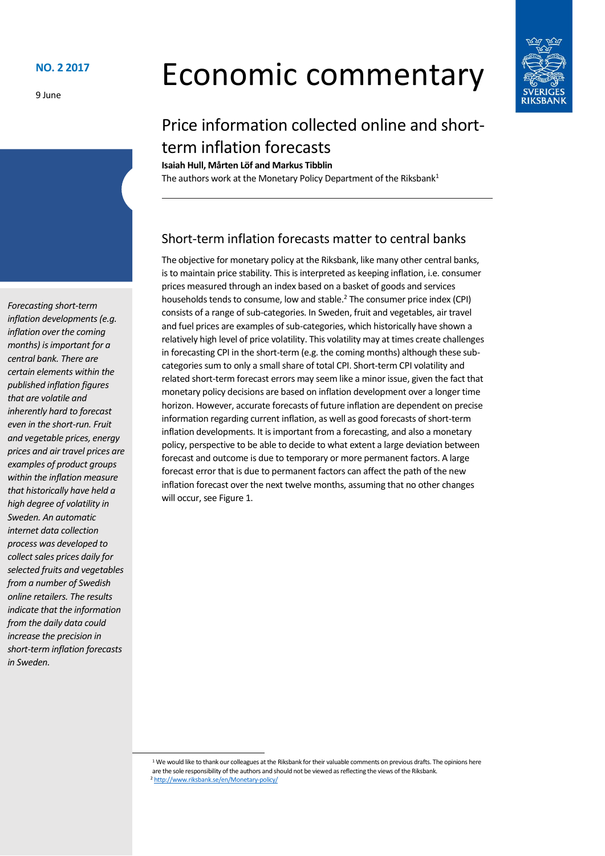9 June

# Economic commentary



## Price information collected online and shortterm inflation forecasts

**Isaiah Hull, Mårten Löf and Markus Tibblin** The authors work at the Monetary Policy Department of the Riksbank<sup>1</sup>

### Short-term inflation forecasts matter to central banks

The objective for monetary policy at the Riksbank, like many other central banks, is to maintain price stability. This is interpreted as keeping inflation, i.e. consumer prices measured through an index based on a basket of goods and services households tends to consume, low and stable.<sup>2</sup> The consumer price index (CPI) consists of a range of sub-categories. In Sweden, fruit and vegetables, air travel and fuel prices are examples of sub-categories, which historically have shown a relatively high level of price volatility. This volatility may at times create challenges in forecasting CPI in the short-term (e.g. the coming months) although these subcategories sum to only a small share of total CPI. Short-term CPI volatility and related short-term forecast errors may seem like a minor issue, given the fact that monetary policy decisions are based on inflation development over a longer time horizon. However, accurate forecasts of future inflation are dependent on precise information regarding current inflation, as well as good forecasts of short-term inflation developments. It is important from a forecasting, and also a monetary policy, perspective to be able to decide to what extent a large deviation between forecast and outcome is due to temporary or more permanent factors. A large forecast error that is due to permanent factors can affect the path of the new inflation forecast over the next twelve months, assuming that no other changes will occur, see Figure 1.

*Forecasting short-term inflation developments(e.g. inflation over the coming months) is important for a central bank. There are certain elements within the published inflation figures that are volatile and inherently hard to forecast even in the short-run. Fruit and vegetable prices, energy prices and air travel prices are examples of product groups within the inflation measure that historically have held a high degree of volatility in Sweden. An automatic internet data collection process was developed to collect sales prices daily for selected fruits and vegetables from a number of Swedish online retailers. The results indicate that the information from the daily data could increase the precision in short-term inflation forecasts in Sweden.*

<sup>&</sup>lt;sup>1</sup> We would like to thank our colleagues at the Riksbank for their valuable comments on previous drafts. The opinions here are the sole responsibility of the authors and should not be viewed as reflecting the views of the Riksbank. <sup>2</sup> <http://www.riksbank.se/en/Monetary-policy/>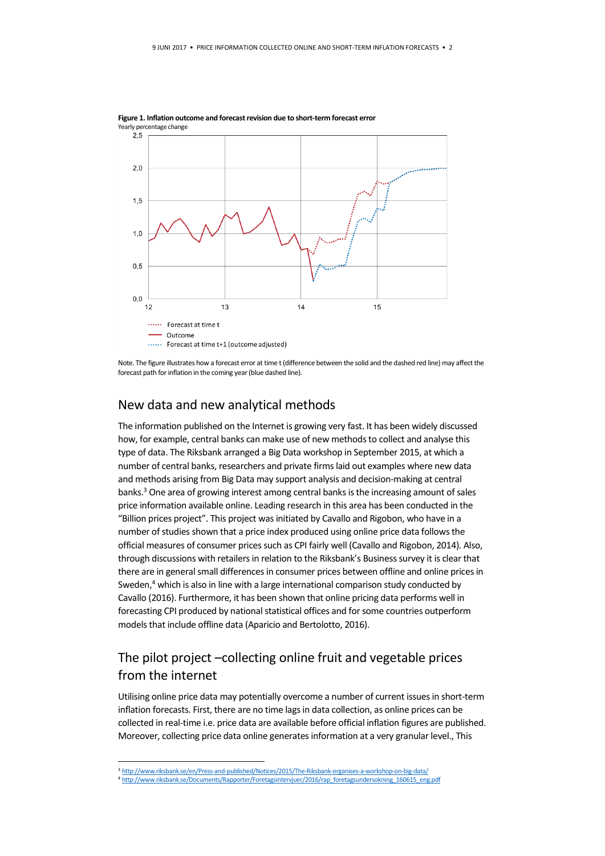

**Figure 1. Inflation outcome and forecast revision due to short-term forecast error**

#### New data and new analytical methods

The information published on the Internet is growing very fast. It has been widely discussed how, for example, central banks can make use of new methods to collect and analyse this type of data. The Riksbank arranged a Big Data workshop in September 2015, at which a number of central banks, researchers and private firms laid out examples where new data and methods arising from Big Data may support analysis and decision-making at central banks.<sup>3</sup> One area of growing interest among central banks is the increasing amount of sales price information available online. Leading research in this area has been conducted in the "Billion prices project". This project was initiated by Cavallo and Rigobon, who have in a number of studies shown that a price index produced using online price data follows the official measures of consumer prices such as CPI fairly well (Cavallo and Rigobon, 2014). Also, through discussions with retailers in relation to the Riksbank's Business survey it is clear that there are in general small differences in consumer prices between offline and online prices in Sweden,<sup>4</sup> which is also in line with a large international comparison study conducted by Cavallo (2016). Furthermore, it has been shown that online pricing data performs well in forecasting CPI produced by national statistical offices and for some countries outperform models that include offline data (Aparicio and Bertolotto, 2016).

#### The pilot project –collecting online fruit and vegetable prices from the internet

Utilising online price data may potentially overcome a number of current issues in short-term inflation forecasts. First, there are no time lags in data collection, as online prices can be collected in real-time i.e. price data are available before official inflation figures are published. Moreover, collecting price data online generates information at a very granular level., This

<u>.</u>

Note. The figure illustrates how a forecast error at time t (difference between the solid and the dashed red line) may affect the forecast path for inflation in the coming year (blue dashed line).

<sup>3</sup> <http://www.riksbank.se/en/Press-and-published/Notices/2015/The-Riksbank-organises-a-workshop-on-big-data/>

<sup>4</sup> [http://www.riksbank.se/Documents/Rapporter/Foretagsintervjuer/2016/rap\\_foretagsundersokning\\_160615\\_eng.pdf](http://www.riksbank.se/Documents/Rapporter/Foretagsintervjuer/2016/rap_foretagsundersokning_160615_eng.pdf)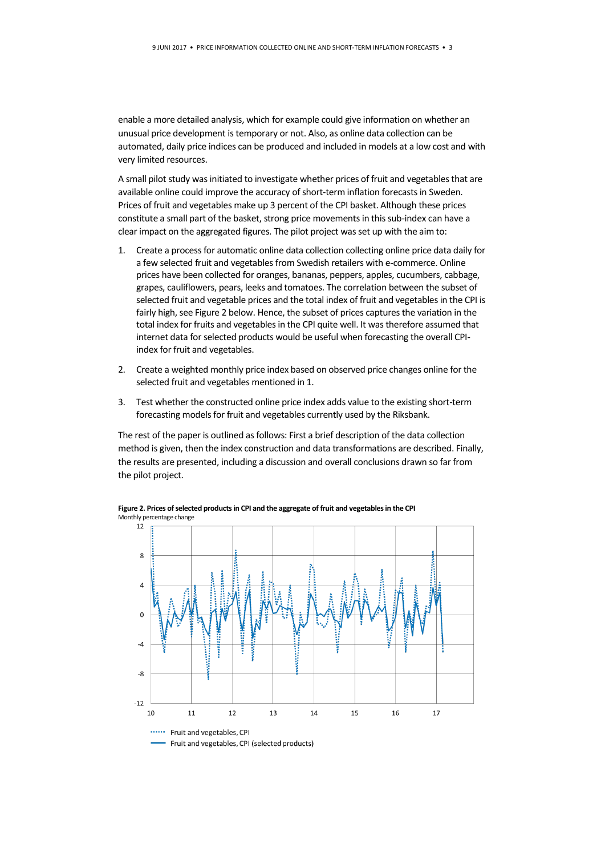enable a more detailed analysis, which for example could give information on whether an unusual price development is temporary or not. Also, as online data collection can be automated, daily price indices can be produced and included in models at a low cost and with very limited resources.

A small pilot study was initiated to investigate whether prices of fruit and vegetables that are available online could improve the accuracy of short-term inflation forecasts in Sweden. Prices of fruit and vegetables make up 3 percent of the CPI basket. Although these prices constitute a small part of the basket, strong price movements in this sub-index can have a clear impact on the aggregated figures. The pilot project was set up with the aim to:

- 1. Create a process for automatic online data collection collecting online price data daily for a few selected fruit and vegetables from Swedish retailers with e-commerce. Online prices have been collected for oranges, bananas, peppers, apples, cucumbers, cabbage, grapes, cauliflowers, pears, leeks and tomatoes. The correlation between the subset of selected fruit and vegetable prices and the total index of fruit and vegetables in the CPI is fairly high, see Figure 2 below. Hence, the subset of prices captures the variation in the total index for fruits and vegetables in the CPI quite well. It was therefore assumed that internet data for selected products would be useful when forecasting the overall CPIindex for fruit and vegetables.
- 2. Create a weighted monthly price index based on observed price changes online for the selected fruit and vegetables mentioned in 1.
- 3. Test whether the constructed online price index adds value to the existing short-term forecasting models for fruit and vegetables currently used by the Riksbank.

The rest of the paper is outlined as follows: First a brief description of the data collection method is given, then the index construction and data transformations are described. Finally, the results are presented, including a discussion and overall conclusions drawn so far from the pilot project.



**Figure 2. Prices of selected products in CPI and the aggregate of fruit and vegetables in the CPI** Monthly percentage change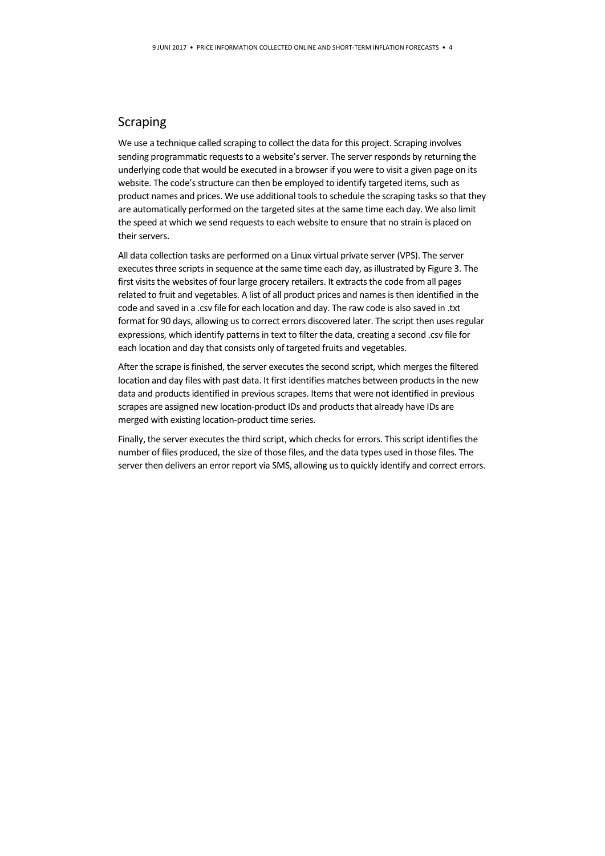#### Scraping

We use a technique called scraping to collect the data for this project. Scraping involves sending programmatic requests to a website's server. The server responds by returning the underlying code that would be executed in a browser if you were to visit a given page on its website. The code's structure can then be employed to identify targeted items, such as product names and prices. We use additional tools to schedule the scraping tasks so that they are automatically performed on the targeted sites at the same time each day. We also limit the speed at which we send requests to each website to ensure that no strain is placed on their servers.

All data collection tasks are performed on a Linux virtual private server (VPS). The server executes three scripts in sequence at the same time each day, as illustrated by Figure 3. The first visits the websites of four large grocery retailers. It extracts the code from all pages related to fruit and vegetables. A list of all product prices and names is then identified in the code and saved in a .csv file for each location and day. The raw code is also saved in .txt format for 90 days, allowing us to correct errors discovered later. The script then uses regular expressions, which identify patterns in text to filter the data, creating a second .csv file for each location and day that consists only of targeted fruits and vegetables.

After the scrape is finished, the server executes the second script, which merges the filtered location and day files with past data. It first identifies matches between products in the new data and products identified in previous scrapes. Items that were not identified in previous scrapes are assigned new location-product IDs and products that already have IDs are merged with existing location-product time series.

Finally, the server executes the third script, which checks for errors. This script identifies the number of files produced, the size of those files, and the data types used in those files. The server then delivers an error report via SMS, allowing us to quickly identify and correct errors.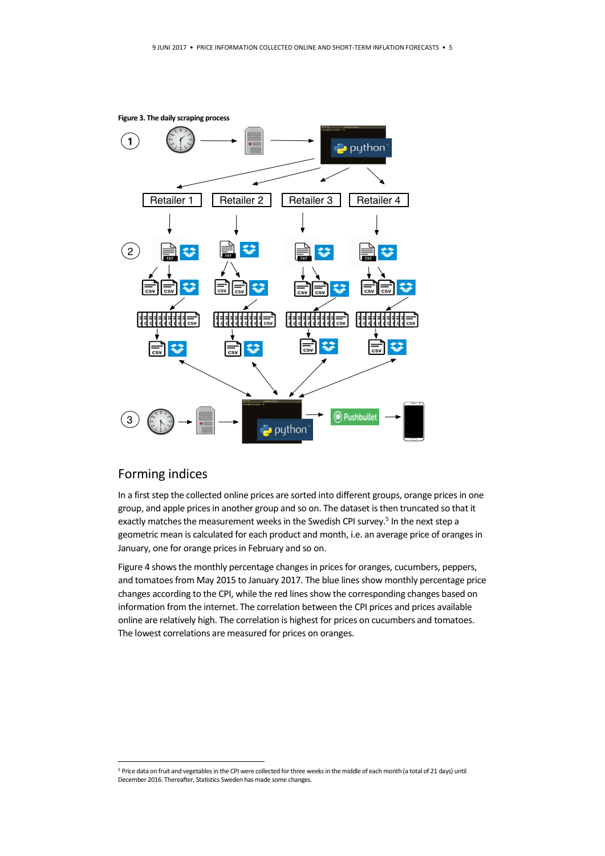

#### Forming indices

<u>.</u>

In a first step the collected online prices are sorted into different groups, orange prices in one group, and apple prices in another group and so on. The dataset is then truncated so that it exactly matches the measurement weeks in the Swedish CPI survey.<sup>5</sup> In the next step a geometric mean is calculated for each product and month, i.e. an average price of oranges in January, one for orange prices in February and so on.

Figure 4 shows the monthly percentage changes in prices for oranges, cucumbers, peppers, and tomatoes from May 2015 to January 2017. The blue lines show monthly percentage price changes according to the CPI, while the red lines show the corresponding changes based on information from the internet. The correlation between the CPI prices and prices available online are relatively high. The correlation is highest for prices on cucumbers and tomatoes. The lowest correlations are measured for prices on oranges.

<sup>&</sup>lt;sup>5</sup> Price data on fruit and vegetables in the CPI were collected for three weeks in the middle of each month (a total of 21 days) until December 2016. Thereafter, Statistics Sweden has made some changes.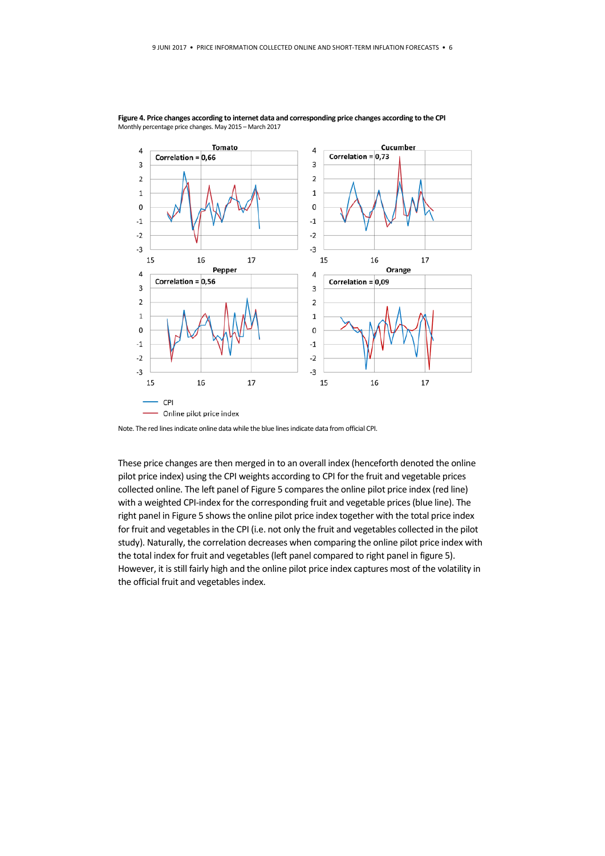

**Figure 4. Price changes according to internet data and corresponding price changes according to the CPI** Monthly percentage price changes. May 2015 – March 2017

Note. The red lines indicate online data while the blue lines indicate data from official CPI.

These price changes are then merged in to an overall index (henceforth denoted the online pilot price index) using the CPI weights according to CPI for the fruit and vegetable prices collected online. The left panel of Figure 5 comparesthe online pilot price index (red line) with a weighted CPI-index for the corresponding fruit and vegetable prices(blue line). The right panel in Figure 5 shows the online pilot price index together with the total price index for fruit and vegetables in the CPI (i.e. not only the fruit and vegetables collected in the pilot study). Naturally, the correlation decreases when comparing the online pilot price index with the total index for fruit and vegetables (left panel compared to right panel in figure 5). However, it is still fairly high and the online pilot price index captures most of the volatility in the official fruit and vegetables index.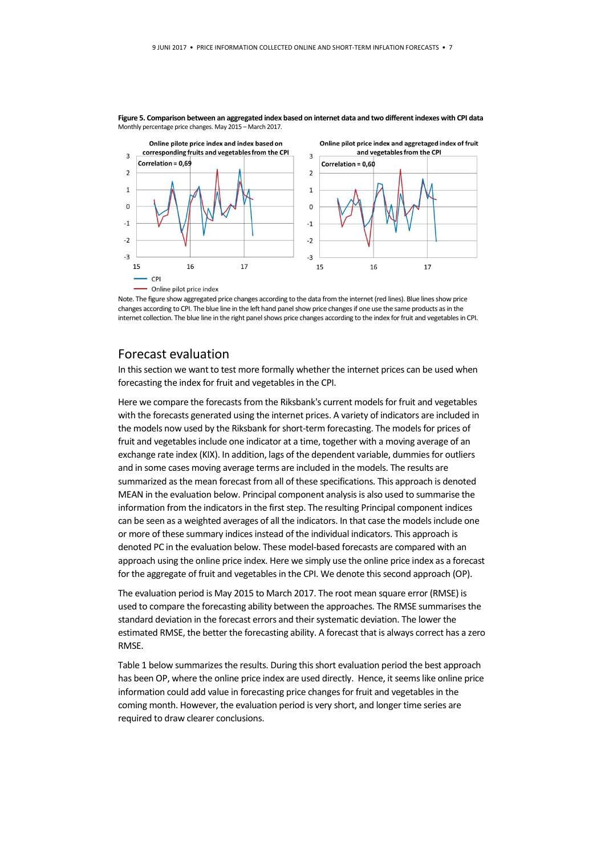

**Figure 5. Comparison between an aggregated index based on internet data and two different indexes with CPI data** Monthly percentage price changes. May 2015 – March 2017.

Note. The figure show aggregated price changes according to the data from the internet (red lines). Blue lines show price changes according to CPI. The blue line in the left hand panel show price changes if one use the same products as in the internet collection. The blue line in the right panel shows price changes according to the index for fruit and vegetables in CPI.

#### Forecast evaluation

In this section we want to test more formally whether the internet prices can be used when forecasting the index for fruit and vegetables in the CPI.

Here we compare the forecasts from the Riksbank's current models for fruit and vegetables with the forecasts generated using the internet prices. A variety of indicators are included in the models now used by the Riksbank for short-term forecasting. The models for prices of fruit and vegetables include one indicator at a time, together with a moving average of an exchange rate index (KIX). In addition, lags of the dependent variable, dummies for outliers and in some cases moving average terms are included in the models. The results are summarized as the mean forecast from all of these specifications. This approach is denoted MEAN in the evaluation below. Principal component analysis is also used to summarise the information from the indicators in the first step. The resulting Principal component indices can be seen as a weighted averages of all the indicators. In that case the models include one or more of these summary indicesinstead of the individual indicators. This approach is denoted PC in the evaluation below. These model-based forecasts are compared with an approach using the online price index. Here we simply use the online price index as a forecast for the aggregate of fruit and vegetables in the CPI. We denote this second approach (OP).

The evaluation period is May 2015 to March 2017. The root mean square error (RMSE) is used to compare the forecasting ability between the approaches. The RMSE summarises the standard deviation in the forecast errors and their systematic deviation. The lower the estimated RMSE, the better the forecasting ability. A forecast that is always correct has a zero RMSE.

Table 1 below summarizes the results. During this short evaluation period the best approach has been OP, where the online price index are used directly. Hence, it seems like online price information could add value in forecasting price changes for fruit and vegetables in the coming month. However, the evaluation period is very short, and longer time series are required to draw clearer conclusions.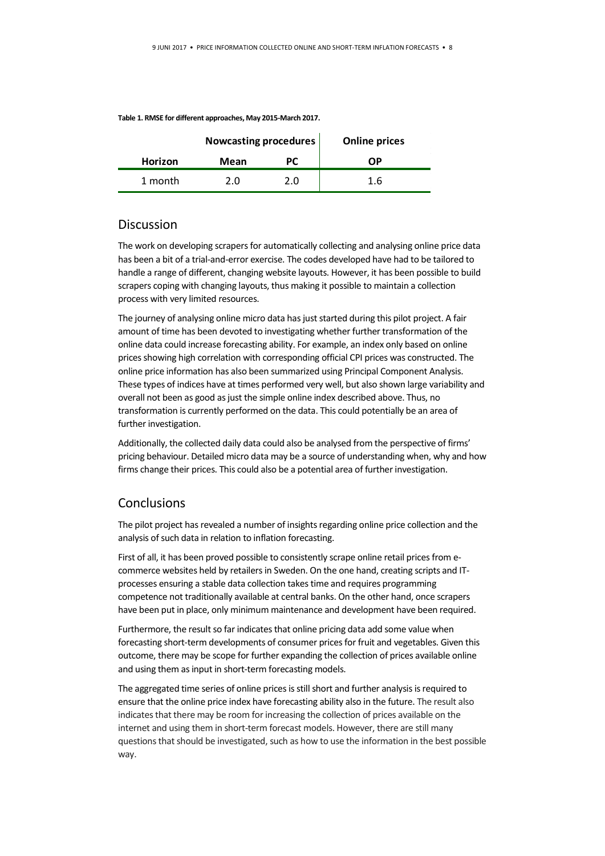|         | <b>Nowcasting procedures</b> |     | <b>Online prices</b> |
|---------|------------------------------|-----|----------------------|
| Horizon | Mean                         | PС  | OΡ                   |
| 1 month | 2.0                          | 2.0 | 1.6                  |
|         |                              |     |                      |

#### **Table 1. RMSE for different approaches, May 2015-March 2017.**

#### **Discussion**

The work on developing scrapers for automatically collecting and analysing online price data has been a bit of a trial-and-error exercise. The codes developed have had to be tailored to handle a range of different, changing website layouts. However, it has been possible to build scrapers coping with changing layouts, thus making it possible to maintain a collection process with very limited resources.

The journey of analysing online micro data has just started during this pilot project. A fair amount of time has been devoted to investigating whether further transformation of the online data could increase forecasting ability. For example, an index only based on online prices showing high correlation with corresponding official CPI prices was constructed. The online price information has also been summarized using Principal Component Analysis. These types of indices have at times performed very well, but also shown large variability and overall not been as good as just the simple online index described above. Thus, no transformation is currently performed on the data. This could potentially be an area of further investigation.

Additionally, the collected daily data could also be analysed from the perspective of firms' pricing behaviour. Detailed micro data may be a source of understanding when, why and how firms change their prices. This could also be a potential area of further investigation.

#### **Conclusions**

The pilot project has revealed a number of insights regarding online price collection and the analysis of such data in relation to inflation forecasting.

First of all, it has been proved possible to consistently scrape online retail prices from ecommerce websites held by retailers in Sweden. On the one hand, creating scripts and ITprocesses ensuring a stable data collection takes time and requires programming competence not traditionally available at central banks. On the other hand, once scrapers have been put in place, only minimum maintenance and development have been required.

Furthermore, the result so far indicates that online pricing data add some value when forecasting short-term developments of consumer prices for fruit and vegetables. Given this outcome, there may be scope for further expanding the collection of prices available online and using them as input in short-term forecasting models.

The aggregated time series of online prices is still short and further analysis is required to ensure that the online price index have forecasting ability also in the future. The result also indicates that there may be room for increasing the collection of prices available on the internet and using them in short-term forecast models. However, there are still many questions that should be investigated, such as how to use the information in the best possible way.